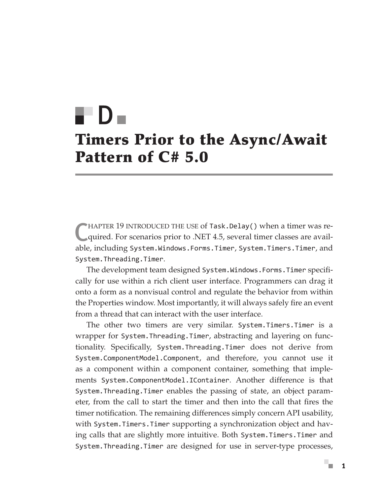# Timers Prior to the Async/Await Pattern of C# 5.0 D

CHAPTER 19 INTRODUCED THE USE of Task.Delay() when a timer was re-<br>quired. For scenarios prior to .NET 4.5, several timer classes are available, including System.Windows.Forms.Timer, System.Timers.Timer, and System.Threading.Timer.

The development team designed System.Windows.Forms.Timer specifically for use within a rich client user interface. Programmers can drag it onto a form as a nonvisual control and regulate the behavior from within the Properties window. Most importantly, it will always safely fire an event from a thread that can interact with the user interface.

The other two timers are very similar. System.Timers.Timer is a wrapper for System.Threading.Timer, abstracting and layering on functionality. Specifically, System.Threading.Timer does not derive from System.ComponentModel.Component, and therefore, you cannot use it as a component within a component container, something that implements System.ComponentModel.IContainer. Another difference is that System.Threading.Timer enables the passing of state, an object parameter, from the call to start the timer and then into the call that fires the timer notification. The remaining differences simply concern API usability, with System.Timers.Timer supporting a synchronization object and having calls that are slightly more intuitive. Both System.Timers.Timer and System.Threading.Timer are designed for use in server-type processes,

ш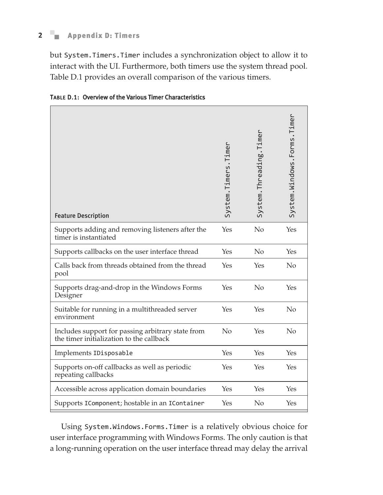## **2 n** Appendix D: Timers

but System.Timers.Timer includes a synchronization object to allow it to interact with the UI. Furthermore, both timers use the system thread pool. Table D.1 provides an overall comparison of the various timers.

| <b>Feature Description</b>                                                                    | System.Timers.Timer | System.Threading.Timer | System.Windows.Forms.Timer |
|-----------------------------------------------------------------------------------------------|---------------------|------------------------|----------------------------|
| Supports adding and removing listeners after the<br>timer is instantiated                     | Yes                 | No                     | Yes                        |
| Supports callbacks on the user interface thread                                               | Yes                 | No                     | Yes                        |
| Calls back from threads obtained from the thread<br>pool                                      | Yes                 | Yes                    | No                         |
| Supports drag-and-drop in the Windows Forms<br>Designer                                       | Yes                 | No                     | Yes                        |
| Suitable for running in a multithreaded server<br>environment                                 | Yes                 | Yes                    | No                         |
| Includes support for passing arbitrary state from<br>the timer initialization to the callback | No                  | Yes                    | No                         |
| Implements IDisposable                                                                        | Yes                 | Yes                    | Yes                        |
| Supports on-off callbacks as well as periodic<br>repeating callbacks                          | Yes                 | Yes                    | Yes                        |
| Accessible across application domain boundaries                                               | Yes                 | Yes                    | Yes                        |
| Supports IComponent; hostable in an IContainer                                                | Yes                 | No                     | Yes                        |

|  |  |  |  |  | <b>TABLE D.1: Overview of the Various Timer Characteristics</b> |
|--|--|--|--|--|-----------------------------------------------------------------|
|--|--|--|--|--|-----------------------------------------------------------------|

Using System.Windows.Forms.Timer is a relatively obvious choice for user interface programming with Windows Forms. The only caution is that a long-running operation on the user interface thread may delay the arrival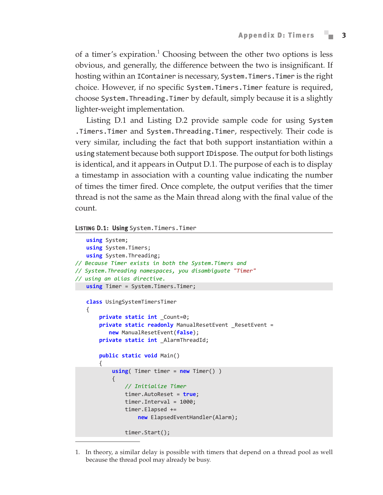of a timer's expiration.<sup>1</sup> Choosing between the other two options is less obvious, and generally, the difference between the two is insignificant. If hosting within an IContainer is necessary, System. Timers. Timer is the right choice. However, if no specific System.Timers.Timer feature is required, choose System.Threading.Timer by default, simply because it is a slightly lighter-weight implementation.

Listing D.1 and Listing D.2 provide sample code for using System .Timers.Timer and System.Threading.Timer, respectively. Their code is very similar, including the fact that both support instantiation within a using statement because both support IDispose. The output for both listings is identical, and it appears in Output D.1. The purpose of each is to display a timestamp in association with a counting value indicating the number of times the timer fired. Once complete, the output verifies that the timer thread is not the same as the Main thread along with the final value of the count.

#### Listing D.1: Using System.Timers.Timer

```
using System;
   using System.Timers;
   using System.Threading;
// Because Timer exists in both the System.Timers and
// System.Threading namespaces, you disambiguate "Timer" 
// using an alias directive.
   using Timer = System.Timers.Timer;
   class UsingSystemTimersTimer
   {
        private static int _Count=0;
       private static readonly ManualResetEvent ResetEvent =
           new ManualResetEvent(false);
        private static int _AlarmThreadId;
        public static void Main()
        {
            using( Timer timer = new Timer() )
    {
                // Initialize Timer
                timer.AutoReset = true;
                timer.Interval = 1000;
                timer.Elapsed += 
                    new ElapsedEventHandler(Alarm);
                timer.Start();
```
1. In theory, a similar delay is possible with timers that depend on a thread pool as well because the thread pool may already be busy.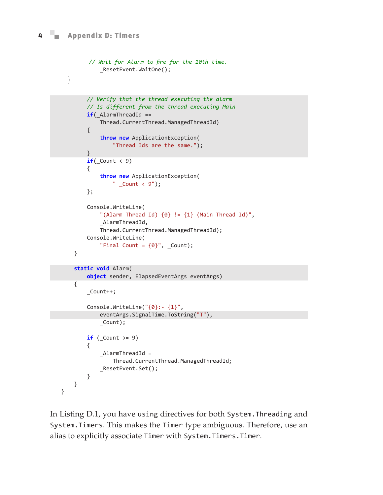### **4 n** Appendix D: Timers

```
 // Wait for Alarm to fire for the 10th time.
             _ResetEvent.WaitOne();
   }
         // Verify that the thread executing the alarm
         // Is different from the thread executing Main
        if( AlarmThreadId ==
             Thread.CurrentThread.ManagedThreadId)
         {
             throw new ApplicationException(
                  "Thread Ids are the same.");
         }
        if(\_Count < 9)
         {
             throw new ApplicationException(
                 " Count < 9";
         };
         Console.WriteLine(
            "(Alarm Thread Id) \{0\} != \{1\} (Main Thread Id)",
             _AlarmThreadId,
             Thread.CurrentThread.ManagedThreadId);
         Console.WriteLine(
            "Final Count = {0}", Count;
     }
     static void Alarm(
         object sender, ElapsedEventArgs eventArgs)
     {
         _Count++;
         Console.WriteLine("{0}:- {1}",
             eventArgs.SignalTime.ToString("T"),
             _Count);
        if (Count > = 9)
         {
             _AlarmThreadId = 
                  Thread.CurrentThread.ManagedThreadId;
             _ResetEvent.Set();
         }
     }
}
```
In Listing D.1, you have using directives for both System.Threading and System.Timers. This makes the Timer type ambiguous. Therefore, use an alias to explicitly associate Timer with System.Timers.Timer.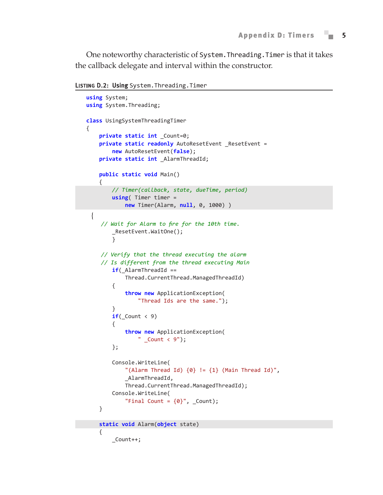One noteworthy characteristic of System.Threading.Timer is that it takes the callback delegate and interval within the constructor.

LISTING D.2: Using System. Threading. Timer

```
using System;
   using System.Threading;
   class UsingSystemThreadingTimer
   {
        private static int _Count=0;
        private static readonly AutoResetEvent _ResetEvent =
            new AutoResetEvent(false);
        private static int _AlarmThreadId;
        public static void Main()
        {
            // Timer(callback, state, dueTime, period)
            using( Timer timer = 
                new Timer(Alarm, null, 0, 1000) )
\{ // Wait for Alarm to fire for the 10th time.
            _ResetEvent.WaitOne();
            }
         // Verify that the thread executing the alarm
         // Is different from the thread executing Main
            if(_AlarmThreadId == 
                 Thread.CurrentThread.ManagedThreadId)
             {
                 throw new ApplicationException(
                     "Thread Ids are the same.");
             }
           if(\_Count < 9)
             {
                 throw new ApplicationException(
                    " \_Count < 9");
            };
            Console.WriteLine(
                "(Alarm Thread Id) \{0\} != \{1\} (Main Thread Id)",
                 _AlarmThreadId,
                 Thread.CurrentThread.ManagedThreadId);
            Console.WriteLine(
                "Final Count = {0}", _{\text{Count}};
        }
        static void Alarm(object state)
        {
            _Count++;
```